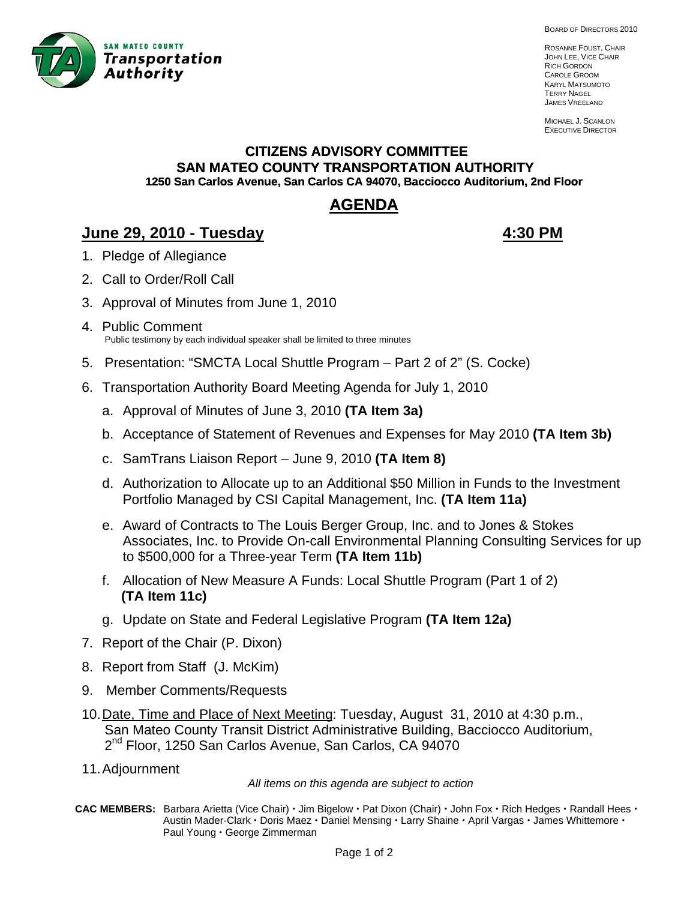

BOARD OF DIRECTORS 2010

ROSANNE FOUST, CHAIR JOHN LEE, VICE CHAIR RICH GORDON CAROLE GROOM KARYL MATSUMOTO TERRY NAGEL JAMES VREELAND

MICHAEL J. SCANLON EXECUTIVE DIRECTOR

# **CITIZENS ADVISORY COMMITTEE SAN MATEO COUNTY TRANSPORTATION AUTHORITY 1250 San Carlos Avenue, San Carlos CA 94070, Bacciocco Auditorium, 2nd Floor**

# **AGENDA**

# **June 29, 2010 - Tuesday 4:30 PM**

- 1. Pledge of Allegiance
- 2. Call to Order/Roll Call
- 3. A pproval of Minutes from June 1, 2010
- 4. Public Comment Public testimony by each individual speaker shall be limited to three minutes
- 5. Presentation: "SMCTA Local Shuttle Program Part 2 of 2" (S. Cocke)
- 6. Transportation Authority Board Meeting Agenda for July 1, 2010
	- a. Approval of Minutes of June 3, 2010 **(TA Item 3a)**
	- b. Acceptance of Statement of Revenues and Expenses for May 2010 **(TA Item 3b)**
	- c. SamTrans Liaison Report June 9, 2010 **(TA Item 8)**
	- d. Authorization to Allocate up to an Additional \$50 Million in Funds to the Investment Portfolio Managed by CSI Capital Management, Inc. **(TA Item 11a)**
	- e. Award of Contracts to The Louis Berger Group, Inc. and to Jones & Stokes Associates, Inc. to Provide On-call Environmental Planning Consulting Services for up to \$500,000 for a Three-year Term **(TA Item 11b)**
	- f. Allocation of New Measure A Funds: Local Shuttle Program (Part 1 of 2) **(TA Item 11c)**
	- g. Update on State and Federal Legislative Program **(TA Item 12a)**
- 7. Report of the Chair (P. Dixon)
- 8. Report from Staff (J. McKim)
- 9. Member Comments/Requests
- 10. Date, Time and Place of Next Meeting: Tuesday, August 31, 2010 at 4:30 p.m., San Mateo County Transit District Administrative Building, Bacciocco Auditorium, 2<sup>nd</sup> Floor, 1250 San Carlos Avenue, San Carlos, CA 94070
- 11. Adjournment

*All items on this agenda are subject to action* 

**CAC MEMBERS:** Barbara Arietta (Vice Chair)  $\cdot$  Jim Bigelow  $\cdot$  Pat Dixon (Chair)  $\cdot$  John Fox  $\cdot$  Rich Hedges  $\cdot$  Randall Hees  $\cdot$ Austin Mader-Clark · Doris Maez · Daniel Mensing · Larry Shaine · April Vargas · James Whittemore · Paul Young · George Zimmerman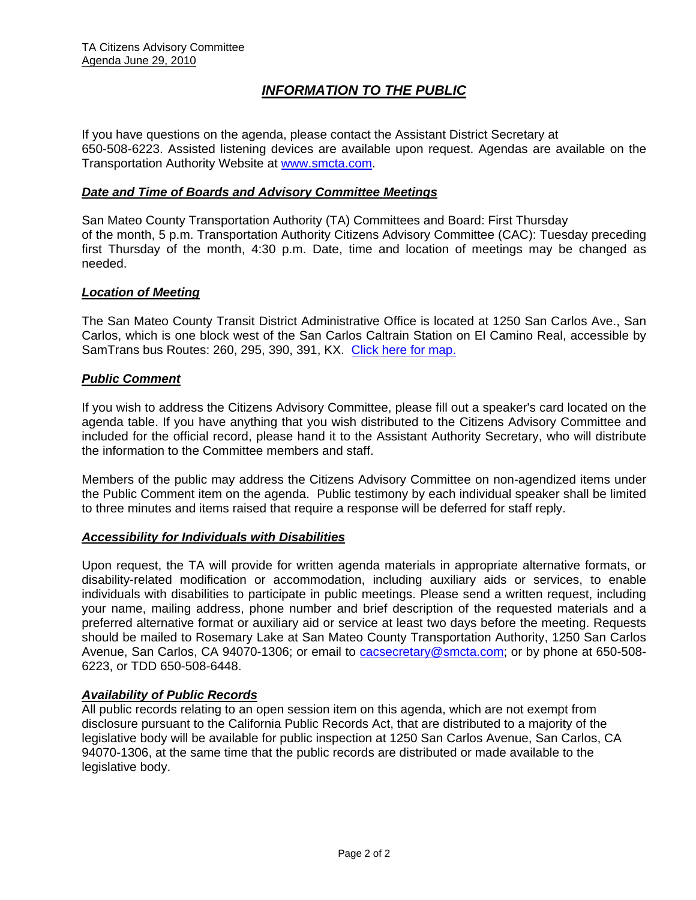## *INFORMATION TO THE PUBLIC*

If you have questions on the agenda, please contact the Assistant District Secretary at 650-508-6223. Assisted listening devices are available upon request. Agendas are available on the Transportation Authority Website at [www.smcta.com.](http://www.smcta.com/)

#### *Date and Time of Boards and Advisory Committee Meetings*

San Mateo County Transportation Authority (TA) Committees and Board: First Thursday of the month, 5 p.m. Transportation Authority Citizens Advisory Committee (CAC): Tuesday preceding first Thursday of the month, 4:30 p.m. Date, time and location of meetings may be changed as needed.

#### *Location of Meeting*

The San Mateo County Transit District Administrative Office is located at 1250 San Carlos Ave., San Carlos, which is one block west of the San Carlos Caltrain Station on El Camino Real, accessible by SamTrans bus Routes: 260, 295, 390, 391, KX. [Click here for map.](http://maps.google.com/maps?f=q&hl=en&geocode=&q=1250+San+Carlos+Ave,+San+Carlos,+CA+94070&sll=37.0625,-95.677068&sspn=33.077336,56.25&ie=UTF8&ll=37.507394,-122.261996&spn=0.008085,0.013733&z=16)

#### *Public Comment*

If you wish to address the Citizens Advisory Committee, please fill out a speaker's card located on the agenda table. If you have anything that you wish distributed to the Citizens Advisory Committee and included for the official record, please hand it to the Assistant Authority Secretary, who will distribute the information to the Committee members and staff.

Members of the public may address the Citizens Advisory Committee on non-agendized items under the Public Comment item on the agenda. Public testimony by each individual speaker shall be limited to three minutes and items raised that require a response will be deferred for staff reply.

#### *Accessibility for Individuals with Disabilities*

Upon request, the TA will provide for written agenda materials in appropriate alternative formats, or disability-related modification or accommodation, including auxiliary aids or services, to enable individuals with disabilities to participate in public meetings. Please send a written request, including your name, mailing address, phone number and brief description of the requested materials and a preferred alternative format or auxiliary aid or service at least two days before the meeting. Requests should be mailed to Rosemary Lake at San Mateo County Transportation Authority, 1250 San Carlos Avenue, San Carlos, CA 94070-1306; or email to [cacsecretary@smcta.com](mailto:cacsecretary@smcta.com); or by phone at 650-508- 6223, or TDD 650-508-6448.

#### *Availability of Public Records*

All public records relating to an open session item on this agenda, which are not exempt from disclosure pursuant to the California Public Records Act, that are distributed to a majority of the legislative body will be available for public inspection at 1250 San Carlos Avenue, San Carlos, CA 94070-1306, at the same time that the public records are distributed or made available to the legislative body.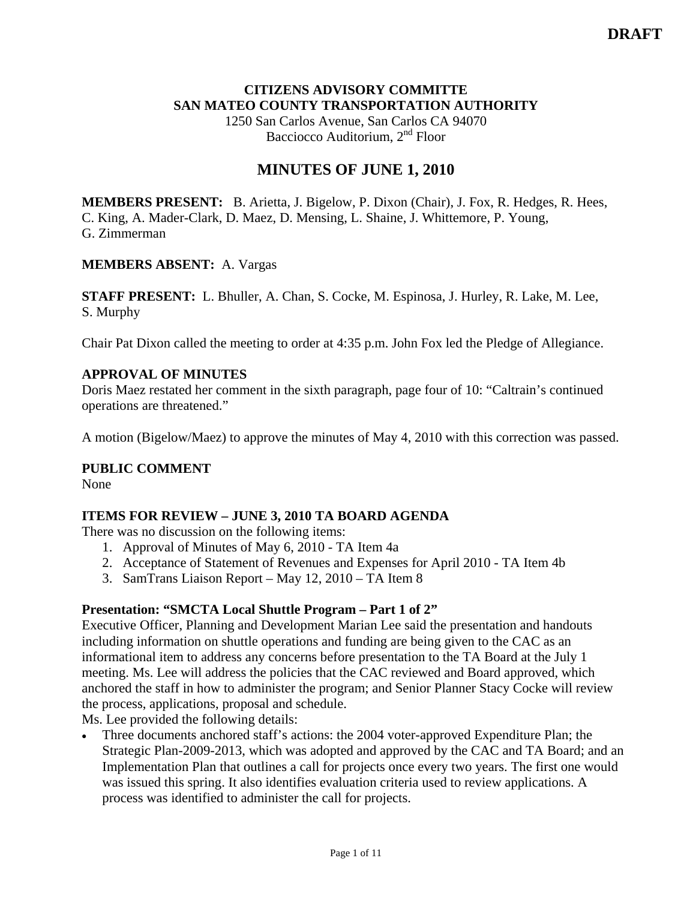### **CITIZENS ADVISORY COMMITTE SAN MATEO COUNTY TRANSPORTATION AUTHORITY**

1250 San Carlos Avenue, San Carlos CA 94070 Bacciocco Auditorium, 2<sup>nd</sup> Floor

# **MINUTES OF JUNE 1, 2010**

**MEMBERS PRESENT:** B. Arietta, J. Bigelow, P. Dixon (Chair), J. Fox, R. Hedges, R. Hees, C. King, A. Mader-Clark, D. Maez, D. Mensing, L. Shaine, J. Whittemore, P. Young, G. Zimmerman

#### **MEMBERS ABSENT:** A. Vargas

**STAFF PRESENT:** L. Bhuller, A. Chan, S. Cocke, M. Espinosa, J. Hurley, R. Lake, M. Lee, S. Murphy

Chair Pat Dixon called the meeting to order at 4:35 p.m. John Fox led the Pledge of Allegiance.

### **APPROVAL OF MINUTES**

Doris Maez restated her comment in the sixth paragraph, page four of 10: "Caltrain's continued operations are threatened."

A motion (Bigelow/Maez) to approve the minutes of May 4, 2010 with this correction was passed.

### **PUBLIC COMMENT**

None

### **ITEMS FOR REVIEW – JUNE 3, 2010 TA BOARD AGENDA**

There was no discussion on the following items:

- 1. Approval of Minutes of May 6, 2010 TA Item 4a
- 2. Acceptance of Statement of Revenues and Expenses for April 2010 TA Item 4b
- 3. SamTrans Liaison Report May 12, 2010 TA Item 8

#### **Presentation: "SMCTA Local Shuttle Program – Part 1 of 2"**

Executive Officer, Planning and Development Marian Lee said the presentation and handouts including information on shuttle operations and funding are being given to the CAC as an informational item to address any concerns before presentation to the TA Board at the July 1 meeting. Ms. Lee will address the policies that the CAC reviewed and Board approved, which anchored the staff in how to administer the program; and Senior Planner Stacy Cocke will review the process, applications, proposal and schedule.

Ms. Lee provided the following details:

• Three documents anchored staff's actions: the 2004 voter-approved Expenditure Plan; the Strategic Plan-2009-2013, which was adopted and approved by the CAC and TA Board; and an Implementation Plan that outlines a call for projects once every two years. The first one would was issued this spring. It also identifies evaluation criteria used to review applications. A process was identified to administer the call for projects.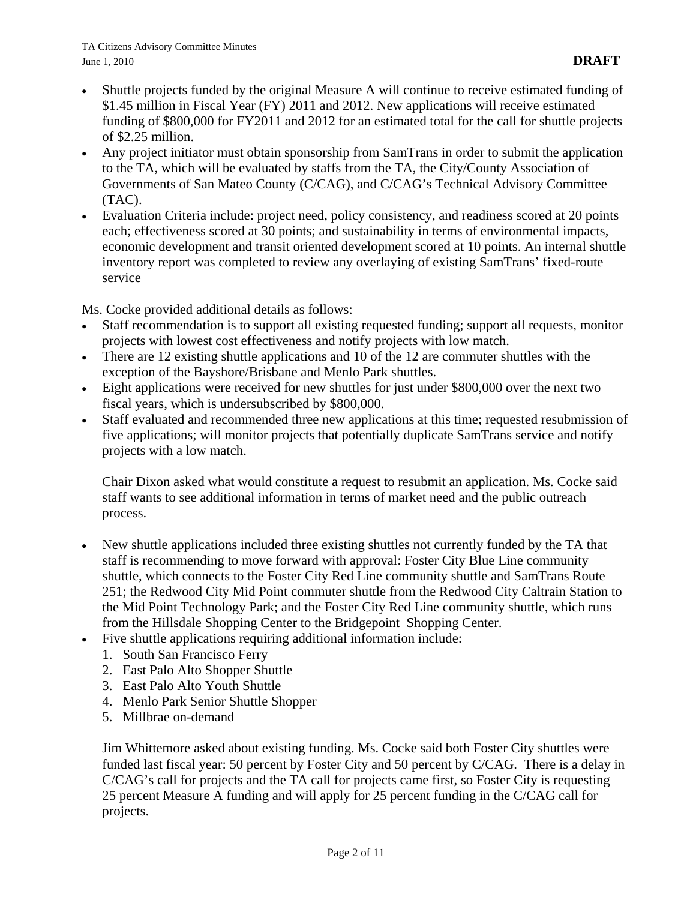- Shuttle projects funded by the original Measure A will continue to receive estimated funding of \$1.45 million in Fiscal Year (FY) 2011 and 2012. New applications will receive estimated funding of \$800,000 for FY2011 and 2012 for an estimated total for the call for shuttle projects of \$2.25 million.
- Any project initiator must obtain sponsorship from SamTrans in order to submit the application to the TA, which will be evaluated by staffs from the TA, the City/County Association of Governments of San Mateo County (C/CAG), and C/CAG's Technical Advisory Committee (TAC).
- Evaluation Criteria include: project need, policy consistency, and readiness scored at 20 points each; effectiveness scored at 30 points; and sustainability in terms of environmental impacts, economic development and transit oriented development scored at 10 points. An internal shuttle inventory report was completed to review any overlaying of existing SamTrans' fixed-route service

Ms. Cocke provided additional details as follows:

- Staff recommendation is to support all existing requested funding; support all requests, monitor projects with lowest cost effectiveness and notify projects with low match.
- There are 12 existing shuttle applications and 10 of the 12 are commuter shuttles with the exception of the Bayshore/Brisbane and Menlo Park shuttles.
- Eight applications were received for new shuttles for just under \$800,000 over the next two fiscal years, which is undersubscribed by \$800,000.
- Staff evaluated and recommended three new applications at this time; requested resubmission of five applications; will monitor projects that potentially duplicate SamTrans service and notify projects with a low match.

Chair Dixon asked what would constitute a request to resubmit an application. Ms. Cocke said staff wants to see additional information in terms of market need and the public outreach process.

- New shuttle applications included three existing shuttles not currently funded by the TA that staff is recommending to move forward with approval: Foster City Blue Line community shuttle, which connects to the Foster City Red Line community shuttle and SamTrans Route 251; the Redwood City Mid Point commuter shuttle from the Redwood City Caltrain Station to the Mid Point Technology Park; and the Foster City Red Line community shuttle, which runs from the Hillsdale Shopping Center to the Bridgepoint Shopping Center.
- Five shuttle applications requiring additional information include:
	- 1. South San Francisco Ferry
	- 2. East Palo Alto Shopper Shuttle
	- 3. East Palo Alto Youth Shuttle
	- 4. Menlo Park Senior Shuttle Shopper
	- 5. Millbrae on-demand

Jim Whittemore asked about existing funding. Ms. Cocke said both Foster City shuttles were funded last fiscal year: 50 percent by Foster City and 50 percent by C/CAG. There is a delay in C/CAG's call for projects and the TA call for projects came first, so Foster City is requesting 25 percent Measure A funding and will apply for 25 percent funding in the C/CAG call for projects.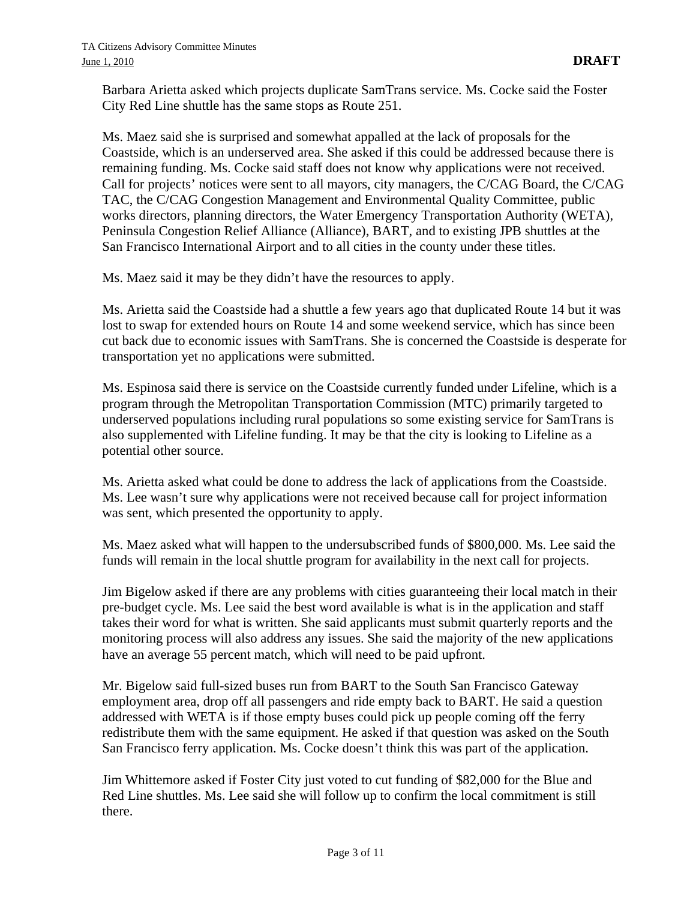Barbara Arietta asked which projects duplicate SamTrans service. Ms. Cocke said the Foster City Red Line shuttle has the same stops as Route 251.

Ms. Maez said she is surprised and somewhat appalled at the lack of proposals for the Coastside, which is an underserved area. She asked if this could be addressed because there is remaining funding. Ms. Cocke said staff does not know why applications were not received. Call for projects' notices were sent to all mayors, city managers, the C/CAG Board, the C/CAG TAC, the C/CAG Congestion Management and Environmental Quality Committee, public works directors, planning directors, the Water Emergency Transportation Authority (WETA), Peninsula Congestion Relief Alliance (Alliance), BART, and to existing JPB shuttles at the San Francisco International Airport and to all cities in the county under these titles.

Ms. Maez said it may be they didn't have the resources to apply.

Ms. Arietta said the Coastside had a shuttle a few years ago that duplicated Route 14 but it was lost to swap for extended hours on Route 14 and some weekend service, which has since been cut back due to economic issues with SamTrans. She is concerned the Coastside is desperate for transportation yet no applications were submitted.

Ms. Espinosa said there is service on the Coastside currently funded under Lifeline, which is a program through the Metropolitan Transportation Commission (MTC) primarily targeted to underserved populations including rural populations so some existing service for SamTrans is also supplemented with Lifeline funding. It may be that the city is looking to Lifeline as a potential other source.

Ms. Arietta asked what could be done to address the lack of applications from the Coastside. Ms. Lee wasn't sure why applications were not received because call for project information was sent, which presented the opportunity to apply.

Ms. Maez asked what will happen to the undersubscribed funds of \$800,000. Ms. Lee said the funds will remain in the local shuttle program for availability in the next call for projects.

Jim Bigelow asked if there are any problems with cities guaranteeing their local match in their pre-budget cycle. Ms. Lee said the best word available is what is in the application and staff takes their word for what is written. She said applicants must submit quarterly reports and the monitoring process will also address any issues. She said the majority of the new applications have an average 55 percent match, which will need to be paid upfront.

Mr. Bigelow said full-sized buses run from BART to the South San Francisco Gateway employment area, drop off all passengers and ride empty back to BART. He said a question addressed with WETA is if those empty buses could pick up people coming off the ferry redistribute them with the same equipment. He asked if that question was asked on the South San Francisco ferry application. Ms. Cocke doesn't think this was part of the application.

Jim Whittemore asked if Foster City just voted to cut funding of \$82,000 for the Blue and Red Line shuttles. Ms. Lee said she will follow up to confirm the local commitment is still there.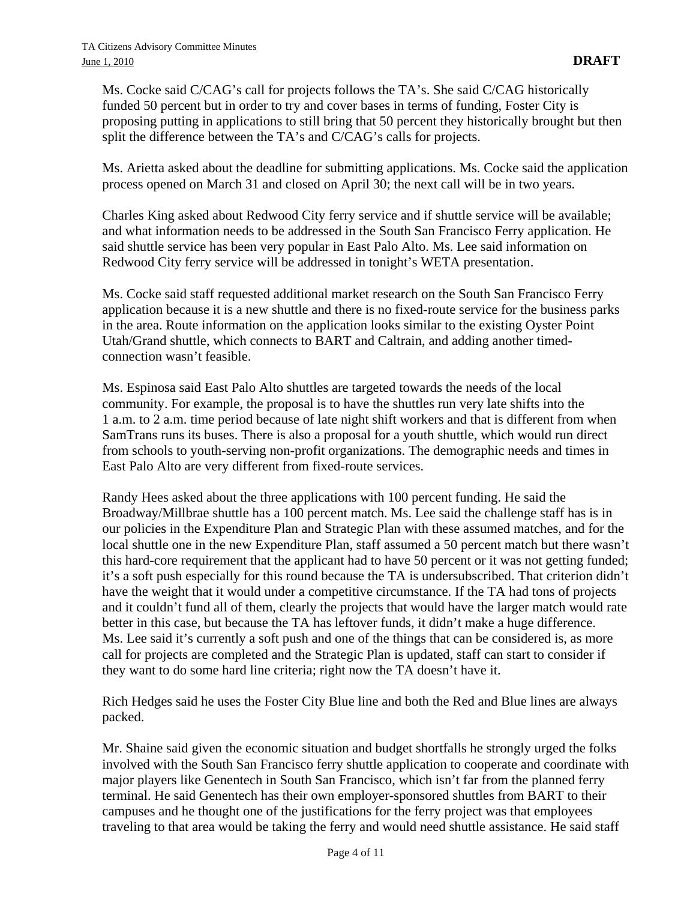Ms. Cocke said C/CAG's call for projects follows the TA's. She said C/CAG historically funded 50 percent but in order to try and cover bases in terms of funding, Foster City is proposing putting in applications to still bring that 50 percent they historically brought but then split the difference between the TA's and C/CAG's calls for projects.

Ms. Arietta asked about the deadline for submitting applications. Ms. Cocke said the application process opened on March 31 and closed on April 30; the next call will be in two years.

Charles King asked about Redwood City ferry service and if shuttle service will be available; and what information needs to be addressed in the South San Francisco Ferry application. He said shuttle service has been very popular in East Palo Alto. Ms. Lee said information on Redwood City ferry service will be addressed in tonight's WETA presentation.

Ms. Cocke said staff requested additional market research on the South San Francisco Ferry application because it is a new shuttle and there is no fixed-route service for the business parks in the area. Route information on the application looks similar to the existing Oyster Point Utah/Grand shuttle, which connects to BART and Caltrain, and adding another timedconnection wasn't feasible.

Ms. Espinosa said East Palo Alto shuttles are targeted towards the needs of the local community. For example, the proposal is to have the shuttles run very late shifts into the 1 a.m. to 2 a.m. time period because of late night shift workers and that is different from when SamTrans runs its buses. There is also a proposal for a youth shuttle, which would run direct from schools to youth-serving non-profit organizations. The demographic needs and times in East Palo Alto are very different from fixed-route services.

Randy Hees asked about the three applications with 100 percent funding. He said the Broadway/Millbrae shuttle has a 100 percent match. Ms. Lee said the challenge staff has is in our policies in the Expenditure Plan and Strategic Plan with these assumed matches, and for the local shuttle one in the new Expenditure Plan, staff assumed a 50 percent match but there wasn't this hard-core requirement that the applicant had to have 50 percent or it was not getting funded; it's a soft push especially for this round because the TA is undersubscribed. That criterion didn't have the weight that it would under a competitive circumstance. If the TA had tons of projects and it couldn't fund all of them, clearly the projects that would have the larger match would rate better in this case, but because the TA has leftover funds, it didn't make a huge difference. Ms. Lee said it's currently a soft push and one of the things that can be considered is, as more call for projects are completed and the Strategic Plan is updated, staff can start to consider if they want to do some hard line criteria; right now the TA doesn't have it.

Rich Hedges said he uses the Foster City Blue line and both the Red and Blue lines are always packed.

Mr. Shaine said given the economic situation and budget shortfalls he strongly urged the folks involved with the South San Francisco ferry shuttle application to cooperate and coordinate with major players like Genentech in South San Francisco, which isn't far from the planned ferry terminal. He said Genentech has their own employer-sponsored shuttles from BART to their campuses and he thought one of the justifications for the ferry project was that employees traveling to that area would be taking the ferry and would need shuttle assistance. He said staff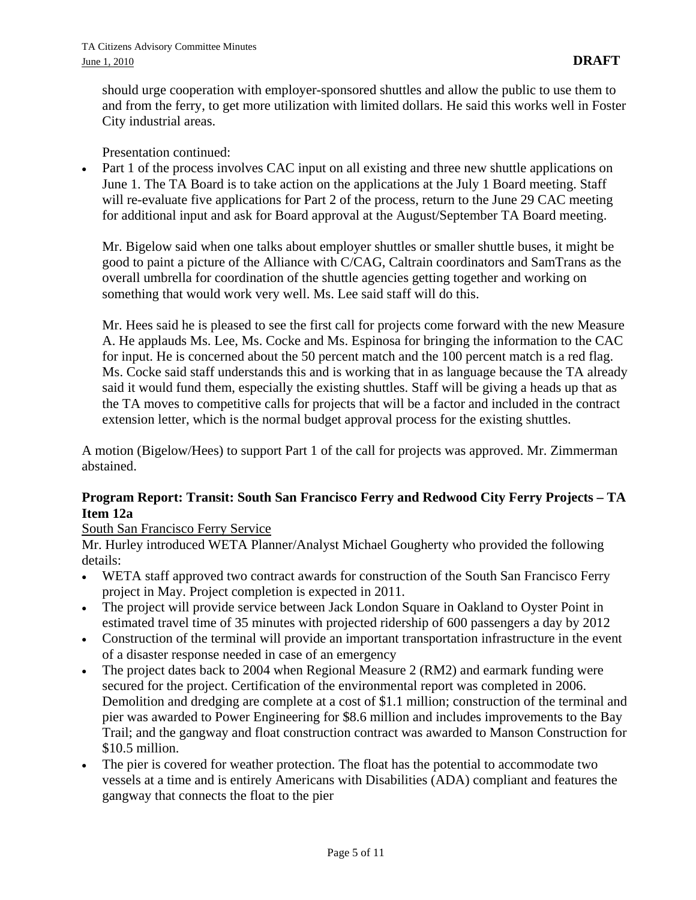should urge cooperation with employer-sponsored shuttles and allow the public to use them to and from the ferry, to get more utilization with limited dollars. He said this works well in Foster City industrial areas.

Presentation continued:

Part 1 of the process involves CAC input on all existing and three new shuttle applications on June 1. The TA Board is to take action on the applications at the July 1 Board meeting. Staff will re-evaluate five applications for Part 2 of the process, return to the June 29 CAC meeting for additional input and ask for Board approval at the August/September TA Board meeting.

Mr. Bigelow said when one talks about employer shuttles or smaller shuttle buses, it might be good to paint a picture of the Alliance with C/CAG, Caltrain coordinators and SamTrans as the overall umbrella for coordination of the shuttle agencies getting together and working on something that would work very well. Ms. Lee said staff will do this.

Mr. Hees said he is pleased to see the first call for projects come forward with the new Measure A. He applauds Ms. Lee, Ms. Cocke and Ms. Espinosa for bringing the information to the CAC for input. He is concerned about the 50 percent match and the 100 percent match is a red flag. Ms. Cocke said staff understands this and is working that in as language because the TA already said it would fund them, especially the existing shuttles. Staff will be giving a heads up that as the TA moves to competitive calls for projects that will be a factor and included in the contract extension letter, which is the normal budget approval process for the existing shuttles.

A motion (Bigelow/Hees) to support Part 1 of the call for projects was approved. Mr. Zimmerman abstained.

## **Program Report: Transit: South San Francisco Ferry and Redwood City Ferry Projects – TA Item 12a**

#### South San Francisco Ferry Service

Mr. Hurley introduced WETA Planner/Analyst Michael Gougherty who provided the following details:

- WETA staff approved two contract awards for construction of the South San Francisco Ferry project in May. Project completion is expected in 2011.
- The project will provide service between Jack London Square in Oakland to Oyster Point in estimated travel time of 35 minutes with projected ridership of 600 passengers a day by 2012
- Construction of the terminal will provide an important transportation infrastructure in the event of a disaster response needed in case of an emergency
- The project dates back to 2004 when Regional Measure 2 (RM2) and earmark funding were secured for the project. Certification of the environmental report was completed in 2006. Demolition and dredging are complete at a cost of \$1.1 million; construction of the terminal and pier was awarded to Power Engineering for \$8.6 million and includes improvements to the Bay Trail; and the gangway and float construction contract was awarded to Manson Construction for \$10.5 million.
- The pier is covered for weather protection. The float has the potential to accommodate two vessels at a time and is entirely Americans with Disabilities (ADA) compliant and features the gangway that connects the float to the pier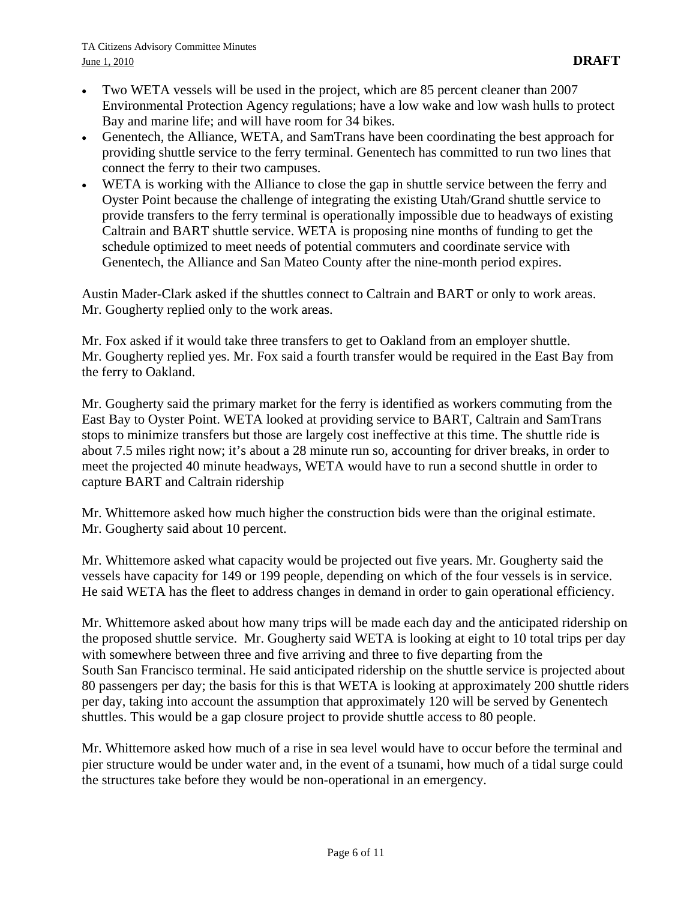- Two WETA vessels will be used in the project, which are 85 percent cleaner than 2007 Environmental Protection Agency regulations; have a low wake and low wash hulls to protect Bay and marine life; and will have room for 34 bikes.
- Genentech, the Alliance, WETA, and SamTrans have been coordinating the best approach for providing shuttle service to the ferry terminal. Genentech has committed to run two lines that connect the ferry to their two campuses.
- WETA is working with the Alliance to close the gap in shuttle service between the ferry and Oyster Point because the challenge of integrating the existing Utah/Grand shuttle service to provide transfers to the ferry terminal is operationally impossible due to headways of existing Caltrain and BART shuttle service. WETA is proposing nine months of funding to get the schedule optimized to meet needs of potential commuters and coordinate service with Genentech, the Alliance and San Mateo County after the nine-month period expires.

Austin Mader-Clark asked if the shuttles connect to Caltrain and BART or only to work areas. Mr. Gougherty replied only to the work areas.

Mr. Fox asked if it would take three transfers to get to Oakland from an employer shuttle. Mr. Gougherty replied yes. Mr. Fox said a fourth transfer would be required in the East Bay from the ferry to Oakland.

Mr. Gougherty said the primary market for the ferry is identified as workers commuting from the East Bay to Oyster Point. WETA looked at providing service to BART, Caltrain and SamTrans stops to minimize transfers but those are largely cost ineffective at this time. The shuttle ride is about 7.5 miles right now; it's about a 28 minute run so, accounting for driver breaks, in order to meet the projected 40 minute headways, WETA would have to run a second shuttle in order to capture BART and Caltrain ridership

Mr. Whittemore asked how much higher the construction bids were than the original estimate. Mr. Gougherty said about 10 percent.

Mr. Whittemore asked what capacity would be projected out five years. Mr. Gougherty said the vessels have capacity for 149 or 199 people, depending on which of the four vessels is in service. He said WETA has the fleet to address changes in demand in order to gain operational efficiency.

Mr. Whittemore asked about how many trips will be made each day and the anticipated ridership on the proposed shuttle service. Mr. Gougherty said WETA is looking at eight to 10 total trips per day with somewhere between three and five arriving and three to five departing from the South San Francisco terminal. He said anticipated ridership on the shuttle service is projected about 80 passengers per day; the basis for this is that WETA is looking at approximately 200 shuttle riders per day, taking into account the assumption that approximately 120 will be served by Genentech shuttles. This would be a gap closure project to provide shuttle access to 80 people.

Mr. Whittemore asked how much of a rise in sea level would have to occur before the terminal and pier structure would be under water and, in the event of a tsunami, how much of a tidal surge could the structures take before they would be non-operational in an emergency.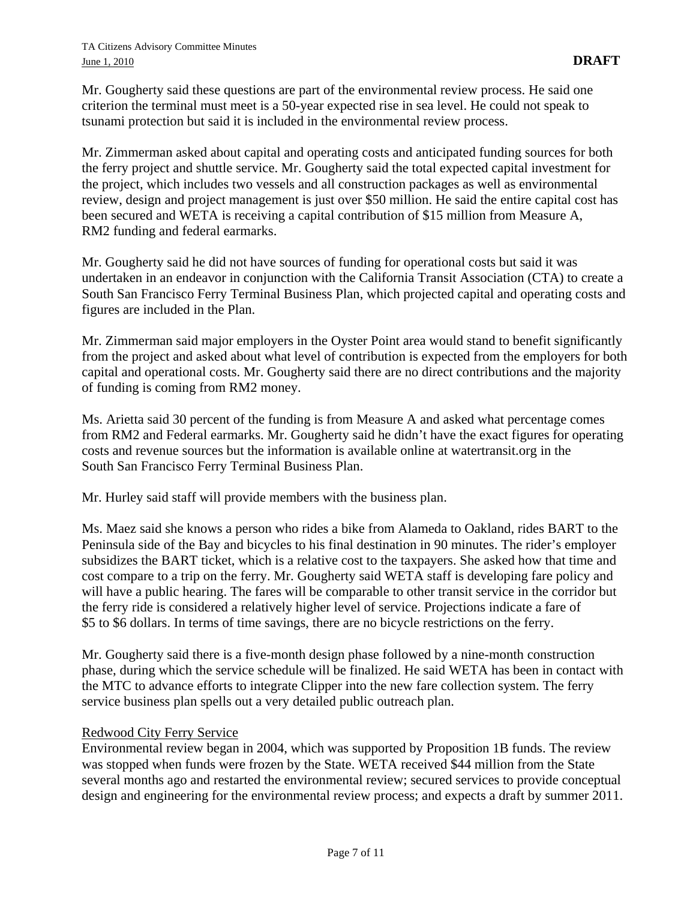Mr. Gougherty said these questions are part of the environmental review process. He said one criterion the terminal must meet is a 50-year expected rise in sea level. He could not speak to tsunami protection but said it is included in the environmental review process.

Mr. Zimmerman asked about capital and operating costs and anticipated funding sources for both the ferry project and shuttle service. Mr. Gougherty said the total expected capital investment for the project, which includes two vessels and all construction packages as well as environmental review, design and project management is just over \$50 million. He said the entire capital cost has been secured and WETA is receiving a capital contribution of \$15 million from Measure A, RM2 funding and federal earmarks.

Mr. Gougherty said he did not have sources of funding for operational costs but said it was undertaken in an endeavor in conjunction with the California Transit Association (CTA) to create a South San Francisco Ferry Terminal Business Plan, which projected capital and operating costs and figures are included in the Plan.

Mr. Zimmerman said major employers in the Oyster Point area would stand to benefit significantly from the project and asked about what level of contribution is expected from the employers for both capital and operational costs. Mr. Gougherty said there are no direct contributions and the majority of funding is coming from RM2 money.

Ms. Arietta said 30 percent of the funding is from Measure A and asked what percentage comes from RM2 and Federal earmarks. Mr. Gougherty said he didn't have the exact figures for operating costs and revenue sources but the information is available online at watertransit.org in the South San Francisco Ferry Terminal Business Plan.

Mr. Hurley said staff will provide members with the business plan.

Ms. Maez said she knows a person who rides a bike from Alameda to Oakland, rides BART to the Peninsula side of the Bay and bicycles to his final destination in 90 minutes. The rider's employer subsidizes the BART ticket, which is a relative cost to the taxpayers. She asked how that time and cost compare to a trip on the ferry. Mr. Gougherty said WETA staff is developing fare policy and will have a public hearing. The fares will be comparable to other transit service in the corridor but the ferry ride is considered a relatively higher level of service. Projections indicate a fare of \$5 to \$6 dollars. In terms of time savings, there are no bicycle restrictions on the ferry.

Mr. Gougherty said there is a five-month design phase followed by a nine-month construction phase, during which the service schedule will be finalized. He said WETA has been in contact with the MTC to advance efforts to integrate Clipper into the new fare collection system. The ferry service business plan spells out a very detailed public outreach plan.

#### Redwood City Ferry Service

Environmental review began in 2004, which was supported by Proposition 1B funds. The review was stopped when funds were frozen by the State. WETA received \$44 million from the State several months ago and restarted the environmental review; secured services to provide conceptual design and engineering for the environmental review process; and expects a draft by summer 2011.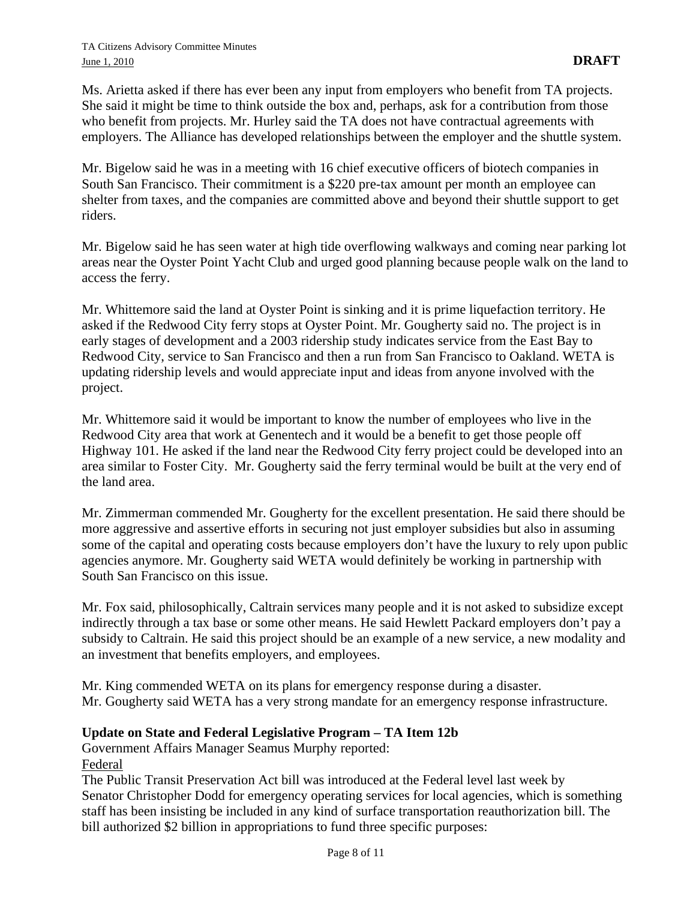Ms. Arietta asked if there has ever been any input from employers who benefit from TA projects. She said it might be time to think outside the box and, perhaps, ask for a contribution from those who benefit from projects. Mr. Hurley said the TA does not have contractual agreements with employers. The Alliance has developed relationships between the employer and the shuttle system.

Mr. Bigelow said he was in a meeting with 16 chief executive officers of biotech companies in South San Francisco. Their commitment is a \$220 pre-tax amount per month an employee can shelter from taxes, and the companies are committed above and beyond their shuttle support to get riders.

Mr. Bigelow said he has seen water at high tide overflowing walkways and coming near parking lot areas near the Oyster Point Yacht Club and urged good planning because people walk on the land to access the ferry.

Mr. Whittemore said the land at Oyster Point is sinking and it is prime liquefaction territory. He asked if the Redwood City ferry stops at Oyster Point. Mr. Gougherty said no. The project is in early stages of development and a 2003 ridership study indicates service from the East Bay to Redwood City, service to San Francisco and then a run from San Francisco to Oakland. WETA is updating ridership levels and would appreciate input and ideas from anyone involved with the project.

Mr. Whittemore said it would be important to know the number of employees who live in the Redwood City area that work at Genentech and it would be a benefit to get those people off Highway 101. He asked if the land near the Redwood City ferry project could be developed into an area similar to Foster City. Mr. Gougherty said the ferry terminal would be built at the very end of the land area.

Mr. Zimmerman commended Mr. Gougherty for the excellent presentation. He said there should be more aggressive and assertive efforts in securing not just employer subsidies but also in assuming some of the capital and operating costs because employers don't have the luxury to rely upon public agencies anymore. Mr. Gougherty said WETA would definitely be working in partnership with South San Francisco on this issue.

Mr. Fox said, philosophically, Caltrain services many people and it is not asked to subsidize except indirectly through a tax base or some other means. He said Hewlett Packard employers don't pay a subsidy to Caltrain. He said this project should be an example of a new service, a new modality and an investment that benefits employers, and employees.

Mr. King commended WETA on its plans for emergency response during a disaster. Mr. Gougherty said WETA has a very strong mandate for an emergency response infrastructure.

### **Update on State and Federal Legislative Program – TA Item 12b**

Government Affairs Manager Seamus Murphy reported:

Federal

The Public Transit Preservation Act bill was introduced at the Federal level last week by Senator Christopher Dodd for emergency operating services for local agencies, which is something staff has been insisting be included in any kind of surface transportation reauthorization bill. The bill authorized \$2 billion in appropriations to fund three specific purposes: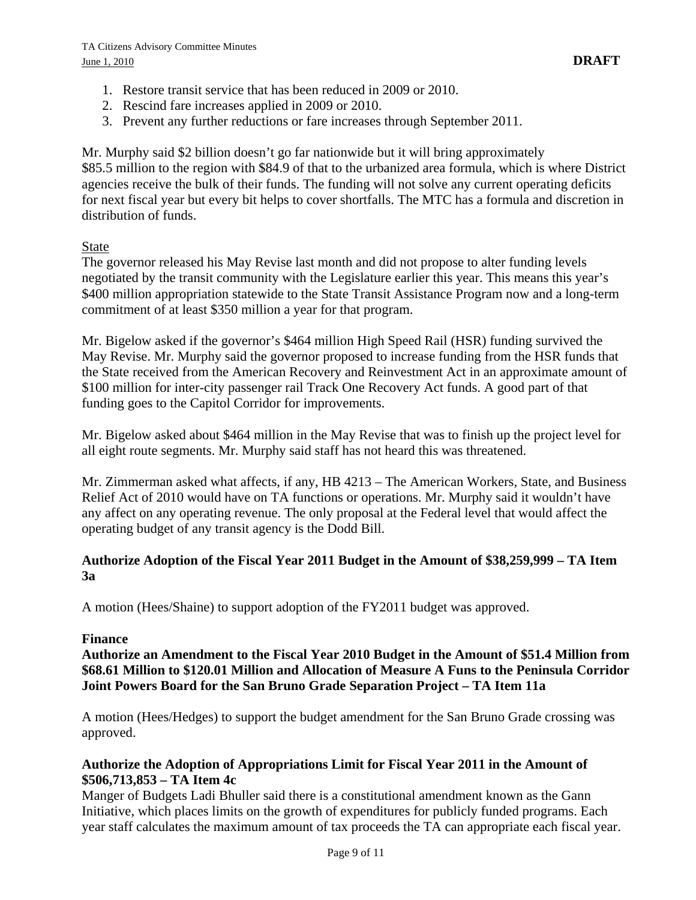- 1. Restore transit service that has been reduced in 2009 or 2010.
- 2. Rescind fare increases applied in 2009 or 2010.
- 3. Prevent any further reductions or fare increases through September 2011.

Mr. Murphy said \$2 billion doesn't go far nationwide but it will bring approximately \$85.5 million to the region with \$84.9 of that to the urbanized area formula, which is where District agencies receive the bulk of their funds. The funding will not solve any current operating deficits for next fiscal year but every bit helps to cover shortfalls. The MTC has a formula and discretion in distribution of funds.

#### State

The governor released his May Revise last month and did not propose to alter funding levels negotiated by the transit community with the Legislature earlier this year. This means this year's \$400 million appropriation statewide to the State Transit Assistance Program now and a long-term commitment of at least \$350 million a year for that program.

Mr. Bigelow asked if the governor's \$464 million High Speed Rail (HSR) funding survived the May Revise. Mr. Murphy said the governor proposed to increase funding from the HSR funds that the State received from the American Recovery and Reinvestment Act in an approximate amount of \$100 million for inter-city passenger rail Track One Recovery Act funds. A good part of that funding goes to the Capitol Corridor for improvements.

Mr. Bigelow asked about \$464 million in the May Revise that was to finish up the project level for all eight route segments. Mr. Murphy said staff has not heard this was threatened.

Mr. Zimmerman asked what affects, if any, HB 4213 – The American Workers, State, and Business Relief Act of 2010 would have on TA functions or operations. Mr. Murphy said it wouldn't have any affect on any operating revenue. The only proposal at the Federal level that would affect the operating budget of any transit agency is the Dodd Bill.

#### **Authorize Adoption of the Fiscal Year 2011 Budget in the Amount of \$38,259,999 – TA Item 3a**

A motion (Hees/Shaine) to support adoption of the FY2011 budget was approved.

#### **Finance**

**Authorize an Amendment to the Fiscal Year 2010 Budget in the Amount of \$51.4 Million from \$68.61 Million to \$120.01 Million and Allocation of Measure A Funs to the Peninsula Corridor Joint Powers Board for the San Bruno Grade Separation Project – TA Item 11a** 

A motion (Hees/Hedges) to support the budget amendment for the San Bruno Grade crossing was approved.

#### **Authorize the Adoption of Appropriations Limit for Fiscal Year 2011 in the Amount of \$506,713,853 – TA Item 4c**

Manger of Budgets Ladi Bhuller said there is a constitutional amendment known as the Gann Initiative, which places limits on the growth of expenditures for publicly funded programs. Each year staff calculates the maximum amount of tax proceeds the TA can appropriate each fiscal year.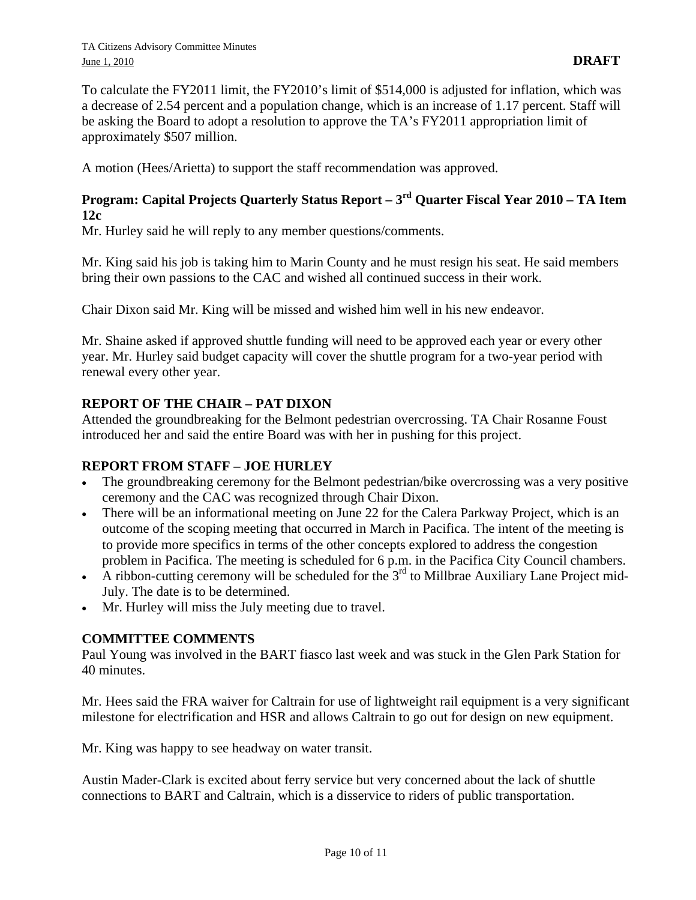To calculate the FY2011 limit, the FY2010's limit of \$514,000 is adjusted for inflation, which was a decrease of 2.54 percent and a population change, which is an increase of 1.17 percent. Staff will be asking the Board to adopt a resolution to approve the TA's FY2011 appropriation limit of approximately \$507 million.

A motion (Hees/Arietta) to support the staff recommendation was approved.

# **Program: Capital Projects Quarterly Status Report – 3rd Quarter Fiscal Year 2010 – TA Item 12c**

Mr. Hurley said he will reply to any member questions/comments.

Mr. King said his job is taking him to Marin County and he must resign his seat. He said members bring their own passions to the CAC and wished all continued success in their work.

Chair Dixon said Mr. King will be missed and wished him well in his new endeavor.

Mr. Shaine asked if approved shuttle funding will need to be approved each year or every other year. Mr. Hurley said budget capacity will cover the shuttle program for a two-year period with renewal every other year.

# **REPORT OF THE CHAIR – PAT DIXON**

Attended the groundbreaking for the Belmont pedestrian overcrossing. TA Chair Rosanne Foust introduced her and said the entire Board was with her in pushing for this project.

# **REPORT FROM STAFF – JOE HURLEY**

- The groundbreaking ceremony for the Belmont pedestrian/bike overcrossing was a very positive ceremony and the CAC was recognized through Chair Dixon.
- There will be an informational meeting on June 22 for the Calera Parkway Project, which is an outcome of the scoping meeting that occurred in March in Pacifica. The intent of the meeting is to provide more specifics in terms of the other concepts explored to address the congestion problem in Pacifica. The meeting is scheduled for 6 p.m. in the Pacifica City Council chambers.
- A ribbon-cutting ceremony will be scheduled for the  $3<sup>rd</sup>$  to Millbrae Auxiliary Lane Project mid-July. The date is to be determined.
- Mr. Hurley will miss the July meeting due to travel.

# **COMMITTEE COMMENTS**

Paul Young was involved in the BART fiasco last week and was stuck in the Glen Park Station for 40 minutes.

Mr. Hees said the FRA waiver for Caltrain for use of lightweight rail equipment is a very significant milestone for electrification and HSR and allows Caltrain to go out for design on new equipment.

Mr. King was happy to see headway on water transit.

Austin Mader-Clark is excited about ferry service but very concerned about the lack of shuttle connections to BART and Caltrain, which is a disservice to riders of public transportation.